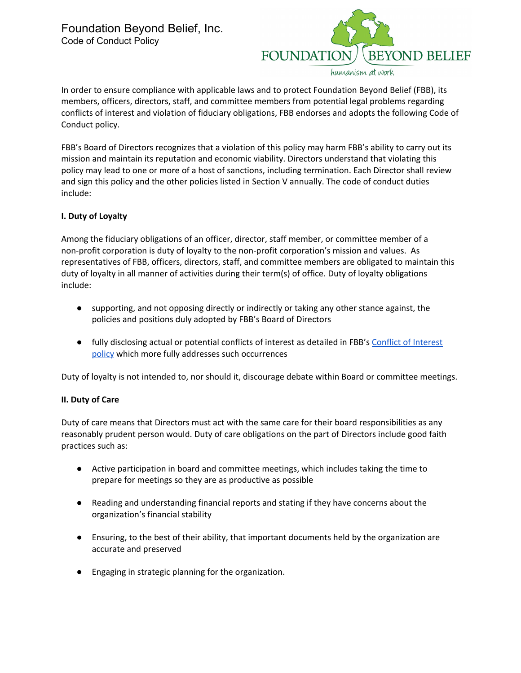

In order to ensure compliance with applicable laws and to protect Foundation Beyond Belief (FBB), its members, officers, directors, staff, and committee members from potential legal problems regarding conflicts of interest and violation of fiduciary obligations, FBB endorses and adopts the following Code of Conduct policy.

FBB's Board of Directors recognizes that a violation of this policy may harm FBB's ability to carry out its mission and maintain its reputation and economic viability. Directors understand that violating this policy may lead to one or more of a host of sanctions, including termination. Each Director shall review and sign this policy and the other policies listed in Section V annually. The code of conduct duties include:

# **I. Duty of Loyalty**

Among the fiduciary obligations of an officer, director, staff member, or committee member of a non-profit corporation is duty of loyalty to the non-profit corporation's mission and values. As representatives of FBB, officers, directors, staff, and committee members are obligated to maintain this duty of loyalty in all manner of activities during their term(s) of office. Duty of loyalty obligations include:

- supporting, and not opposing directly or indirectly or taking any other stance against, the policies and positions duly adopted by FBB's Board of Directors
- fully disclosing actual or potential conflicts of interest as detailed in FBB's Conflict of [Interest](https://docs.google.com/document/d/14uoCbvd4Mls0Y5K0cu9zxXFxX58XIU9XF51hkQEqlZs/edit) [policy](https://docs.google.com/document/d/14uoCbvd4Mls0Y5K0cu9zxXFxX58XIU9XF51hkQEqlZs/edit) which more fully addresses such occurrences

Duty of loyalty is not intended to, nor should it, discourage debate within Board or committee meetings.

## **II. Duty of Care**

Duty of care means that Directors must act with the same care for their board responsibilities as any reasonably prudent person would. Duty of care obligations on the part of Directors include good faith practices such as:

- Active participation in board and committee meetings, which includes taking the time to prepare for meetings so they are as productive as possible
- Reading and understanding financial reports and stating if they have concerns about the organization's financial stability
- Ensuring, to the best of their ability, that important documents held by the organization are accurate and preserved
- Engaging in strategic planning for the organization.